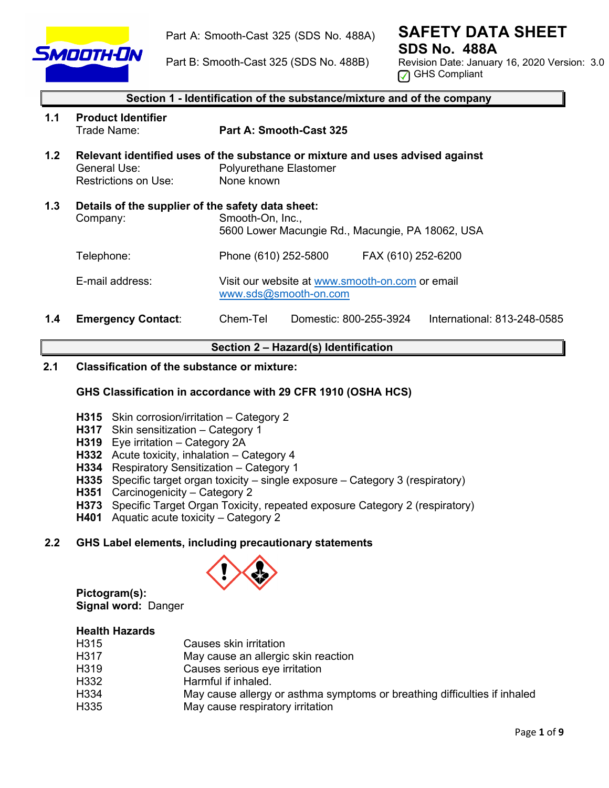

Part A: Smooth-Cast 325 (SDS No. 488A)

**SAFETY DATA SHEET SDS No. 488A**

Part B: Smooth-Cast 325 (SDS No. 488B)

Revision Date: January 16, 2020 Version: 3.0 **<u>A</u>** GHS Compliant

|     | Section 1 - Identification of the substance/mixture and of the company |                                                                                                                              |  |  |  |
|-----|------------------------------------------------------------------------|------------------------------------------------------------------------------------------------------------------------------|--|--|--|
| 1.1 | <b>Product Identifier</b><br>Trade Name:                               | Part A: Smooth-Cast 325                                                                                                      |  |  |  |
| 1.2 | General Use:<br>Restrictions on Use:                                   | Relevant identified uses of the substance or mixture and uses advised against<br><b>Polyurethane Elastomer</b><br>None known |  |  |  |
| 1.3 | Company:                                                               | Details of the supplier of the safety data sheet:<br>Smooth-On, Inc.,<br>5600 Lower Macungie Rd., Macungie, PA 18062, USA    |  |  |  |
|     | Telephone:                                                             | Phone (610) 252-5800<br>FAX (610) 252-6200                                                                                   |  |  |  |
|     | E-mail address:                                                        | Visit our website at www.smooth-on.com or email<br>www.sds@smooth-on.com                                                     |  |  |  |
| 1.4 | <b>Emergency Contact:</b>                                              | Domestic: 800-255-3924<br>International: 813-248-0585<br>Chem-Tel                                                            |  |  |  |

# **Section 2 – Hazard(s) Identification**

# **2.1 Classification of the substance or mixture:**

# **GHS Classification in accordance with 29 CFR 1910 (OSHA HCS)**

- **H315** Skin corrosion/irritation Category 2
- **H317** Skin sensitization Category 1
- **H319** Eye irritation Category 2A
- **H332** Acute toxicity, inhalation Category 4
- **H334** Respiratory Sensitization Category 1
- **H335** Specific target organ toxicity single exposure Category 3 (respiratory)
- **H351** Carcinogenicity Category 2
- **H373** Specific Target Organ Toxicity, repeated exposure Category 2 (respiratory)
- **H401** Aquatic acute toxicity Category 2

# **2.2 GHS Label elements, including precautionary statements**



**Pictogram(s): Signal word:** Danger

#### **Health Hazards**

| H315 | Causes skin irritation                                                    |
|------|---------------------------------------------------------------------------|
| H317 | May cause an allergic skin reaction                                       |
| H319 | Causes serious eye irritation                                             |
| H332 | Harmful if inhaled.                                                       |
| H334 | May cause allergy or asthma symptoms or breathing difficulties if inhaled |
| H335 | May cause respiratory irritation                                          |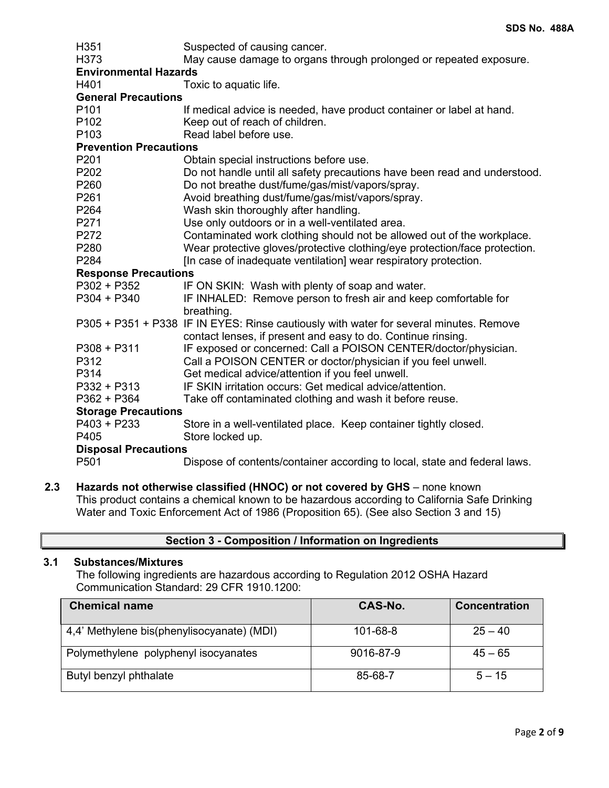| H351                          | Suspected of causing cancer.                                                           |  |  |  |  |
|-------------------------------|----------------------------------------------------------------------------------------|--|--|--|--|
| H373                          | May cause damage to organs through prolonged or repeated exposure.                     |  |  |  |  |
| <b>Environmental Hazards</b>  |                                                                                        |  |  |  |  |
| H401                          | Toxic to aquatic life.                                                                 |  |  |  |  |
| <b>General Precautions</b>    |                                                                                        |  |  |  |  |
| P101                          | If medical advice is needed, have product container or label at hand.                  |  |  |  |  |
| P <sub>102</sub>              | Keep out of reach of children.                                                         |  |  |  |  |
| P <sub>103</sub>              | Read label before use.                                                                 |  |  |  |  |
| <b>Prevention Precautions</b> |                                                                                        |  |  |  |  |
| P201                          | Obtain special instructions before use.                                                |  |  |  |  |
| P202                          | Do not handle until all safety precautions have been read and understood.              |  |  |  |  |
| P260                          | Do not breathe dust/fume/gas/mist/vapors/spray.                                        |  |  |  |  |
| P261                          | Avoid breathing dust/fume/gas/mist/vapors/spray.                                       |  |  |  |  |
| P264                          | Wash skin thoroughly after handling.                                                   |  |  |  |  |
| P271                          | Use only outdoors or in a well-ventilated area.                                        |  |  |  |  |
| P272                          | Contaminated work clothing should not be allowed out of the workplace.                 |  |  |  |  |
| P280                          | Wear protective gloves/protective clothing/eye protection/face protection.             |  |  |  |  |
| P284                          | [In case of inadequate ventilation] wear respiratory protection.                       |  |  |  |  |
| <b>Response Precautions</b>   |                                                                                        |  |  |  |  |
| $P302 + P352$                 | IF ON SKIN: Wash with plenty of soap and water.                                        |  |  |  |  |
| $P304 + P340$                 | IF INHALED: Remove person to fresh air and keep comfortable for                        |  |  |  |  |
|                               | breathing.                                                                             |  |  |  |  |
|                               | P305 + P351 + P338 IF IN EYES: Rinse cautiously with water for several minutes. Remove |  |  |  |  |
|                               | contact lenses, if present and easy to do. Continue rinsing.                           |  |  |  |  |
| $P308 + P311$                 | IF exposed or concerned: Call a POISON CENTER/doctor/physician.                        |  |  |  |  |
| P312                          | Call a POISON CENTER or doctor/physician if you feel unwell.                           |  |  |  |  |
| P314                          | Get medical advice/attention if you feel unwell.                                       |  |  |  |  |
| $P332 + P313$                 | IF SKIN irritation occurs: Get medical advice/attention.                               |  |  |  |  |
| $P362 + P364$                 | Take off contaminated clothing and wash it before reuse.                               |  |  |  |  |
| <b>Storage Precautions</b>    |                                                                                        |  |  |  |  |
| P403 + P233                   | Store in a well-ventilated place. Keep container tightly closed.                       |  |  |  |  |
| P405                          | Store locked up.                                                                       |  |  |  |  |
| <b>Disposal Precautions</b>   |                                                                                        |  |  |  |  |
| P <sub>501</sub>              | Dispose of contents/container according to local, state and federal laws.              |  |  |  |  |

**2.3 Hazards not otherwise classified (HNOC) or not covered by GHS** – none known This product contains a chemical known to be hazardous according to California Safe Drinking Water and Toxic Enforcement Act of 1986 (Proposition 65). (See also Section 3 and 15)

| Section 3 - Composition / Information on Ingredients |  |
|------------------------------------------------------|--|
|------------------------------------------------------|--|

# **3.1 Substances/Mixtures**

The following ingredients are hazardous according to Regulation 2012 OSHA Hazard Communication Standard: 29 CFR 1910.1200:

| <b>Chemical name</b>                       | CAS-No.        | <b>Concentration</b> |
|--------------------------------------------|----------------|----------------------|
| 4,4' Methylene bis(phenylisocyanate) (MDI) | $101 - 68 - 8$ | $25 - 40$            |
| Polymethylene polyphenyl isocyanates       | 9016-87-9      | $45 - 65$            |
| Butyl benzyl phthalate                     | 85-68-7        | $5 - 15$             |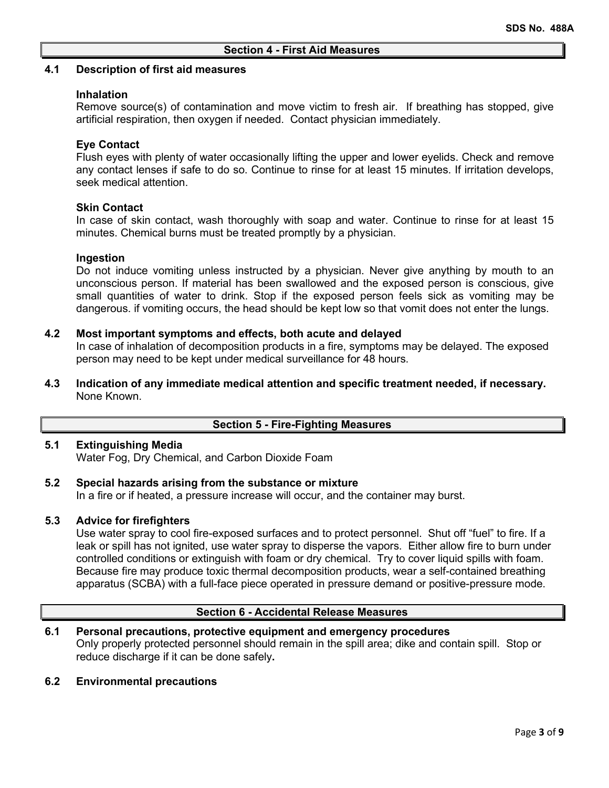#### **4.1 Description of first aid measures**

#### **Inhalation**

Remove source(s) of contamination and move victim to fresh air. If breathing has stopped, give artificial respiration, then oxygen if needed. Contact physician immediately.

#### **Eye Contact**

Flush eyes with plenty of water occasionally lifting the upper and lower eyelids. Check and remove any contact lenses if safe to do so. Continue to rinse for at least 15 minutes. If irritation develops, seek medical attention.

#### **Skin Contact**

In case of skin contact, wash thoroughly with soap and water. Continue to rinse for at least 15 minutes. Chemical burns must be treated promptly by a physician.

#### **Ingestion**

Do not induce vomiting unless instructed by a physician. Never give anything by mouth to an unconscious person. If material has been swallowed and the exposed person is conscious, give small quantities of water to drink. Stop if the exposed person feels sick as vomiting may be dangerous. if vomiting occurs, the head should be kept low so that vomit does not enter the lungs.

#### **4.2 Most important symptoms and effects, both acute and delayed**

In case of inhalation of decomposition products in a fire, symptoms may be delayed. The exposed person may need to be kept under medical surveillance for 48 hours.

**4.3 Indication of any immediate medical attention and specific treatment needed, if necessary.** None Known.

#### **Section 5 - Fire-Fighting Measures**

# **5.1 Extinguishing Media**

Water Fog, Dry Chemical, and Carbon Dioxide Foam

# **5.2 Special hazards arising from the substance or mixture**

In a fire or if heated, a pressure increase will occur, and the container may burst.

#### **5.3 Advice for firefighters**

Use water spray to cool fire-exposed surfaces and to protect personnel. Shut off "fuel" to fire. If a leak or spill has not ignited, use water spray to disperse the vapors. Either allow fire to burn under controlled conditions or extinguish with foam or dry chemical. Try to cover liquid spills with foam. Because fire may produce toxic thermal decomposition products, wear a self-contained breathing apparatus (SCBA) with a full-face piece operated in pressure demand or positive-pressure mode.

#### **Section 6 - Accidental Release Measures**

# **6.1 Personal precautions, protective equipment and emergency procedures**

Only properly protected personnel should remain in the spill area; dike and contain spill. Stop or reduce discharge if it can be done safely**.**

#### **6.2 Environmental precautions**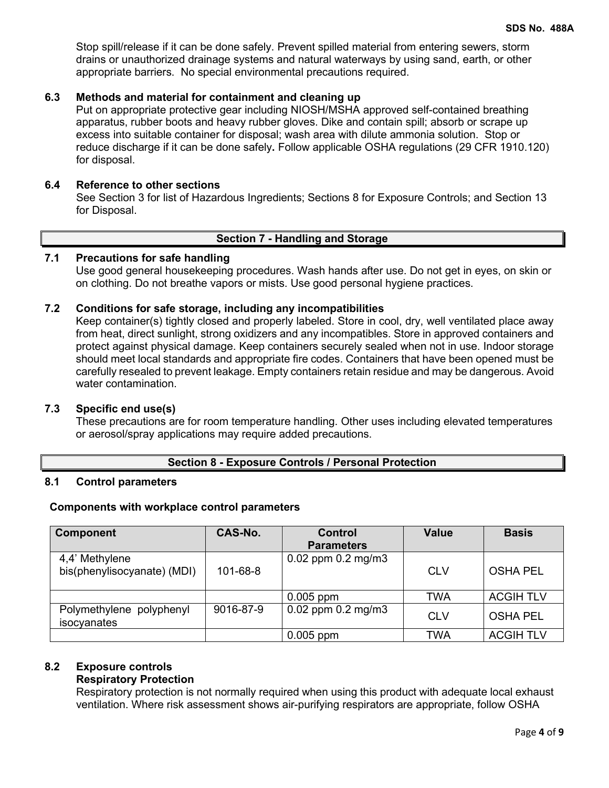Stop spill/release if it can be done safely. Prevent spilled material from entering sewers, storm drains or unauthorized drainage systems and natural waterways by using sand, earth, or other appropriate barriers.No special environmental precautions required.

# **6.3 Methods and material for containment and cleaning up**

Put on appropriate protective gear including NIOSH/MSHA approved self-contained breathing apparatus, rubber boots and heavy rubber gloves. Dike and contain spill; absorb or scrape up excess into suitable container for disposal; wash area with dilute ammonia solution. Stop or reduce discharge if it can be done safely**.** Follow applicable OSHA regulations (29 CFR 1910.120) for disposal.

# **6.4 Reference to other sections**

See Section 3 for list of Hazardous Ingredients; Sections 8 for Exposure Controls; and Section 13 for Disposal.

# **Section 7 - Handling and Storage**

# **7.1 Precautions for safe handling**

Use good general housekeeping procedures. Wash hands after use. Do not get in eyes, on skin or on clothing. Do not breathe vapors or mists. Use good personal hygiene practices.

# **7.2 Conditions for safe storage, including any incompatibilities**

Keep container(s) tightly closed and properly labeled. Store in cool, dry, well ventilated place away from heat, direct sunlight, strong oxidizers and any incompatibles. Store in approved containers and protect against physical damage. Keep containers securely sealed when not in use. Indoor storage should meet local standards and appropriate fire codes. Containers that have been opened must be carefully resealed to prevent leakage. Empty containers retain residue and may be dangerous. Avoid water contamination.

# **7.3 Specific end use(s)**

These precautions are for room temperature handling. Other uses including elevated temperatures or aerosol/spray applications may require added precautions.

# **Section 8 - Exposure Controls / Personal Protection**

# **8.1 Control parameters**

# **Components with workplace control parameters**

| <b>Component</b>            | CAS-No.   | <b>Control</b>         | <b>Value</b> | <b>Basis</b>     |
|-----------------------------|-----------|------------------------|--------------|------------------|
|                             |           | <b>Parameters</b>      |              |                  |
| 4,4' Methylene              |           | $0.02$ ppm $0.2$ mg/m3 |              |                  |
| bis(phenylisocyanate) (MDI) | 101-68-8  |                        | <b>CLV</b>   | <b>OSHA PEL</b>  |
|                             |           |                        |              |                  |
|                             |           | $0.005$ ppm            | TWA          | <b>ACGIH TLV</b> |
| Polymethylene<br>polyphenyl | 9016-87-9 | $0.02$ ppm $0.2$ mg/m3 | <b>CLV</b>   | <b>OSHA PEL</b>  |
| isocyanates                 |           |                        |              |                  |
|                             |           | $0.005$ ppm            | <b>TWA</b>   | <b>ACGIH TLV</b> |

# **8.2 Exposure controls**

# **Respiratory Protection**

Respiratory protection is not normally required when using this product with adequate local exhaust ventilation. Where risk assessment shows air-purifying respirators are appropriate, follow OSHA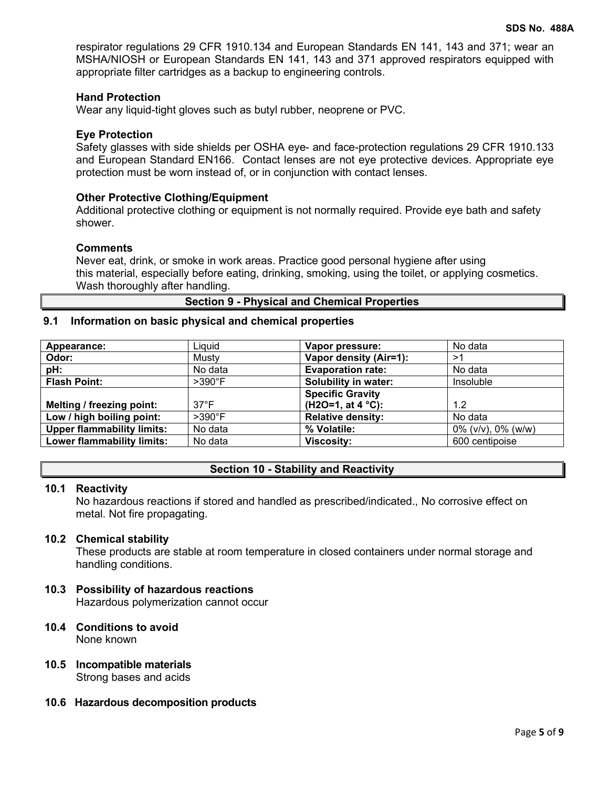respirator regulations 29 CFR 1910.134 and European Standards EN 141, 143 and 371; wear an MSHA/NIOSH or European Standards EN 141, 143 and 371 approved respirators equipped with appropriate filter cartridges as a backup to engineering controls.

#### **Hand Protection**

Wear any liquid-tight gloves such as butyl rubber, neoprene or PVC.

#### **Eye Protection**

Safety glasses with side shields per OSHA eye- and face-protection regulations 29 CFR 1910.133 and European Standard EN166. Contact lenses are not eye protective devices. Appropriate eye protection must be worn instead of, or in conjunction with contact lenses.

#### **Other Protective Clothing/Equipment**

Additional protective clothing or equipment is not normally required. Provide eye bath and safety shower.

#### **Comments**

Never eat, drink, or smoke in work areas. Practice good personal hygiene after using this material, especially before eating, drinking, smoking, using the toilet, or applying cosmetics. Wash thoroughly after handling.

**Section 9 - Physical and Chemical Properties**

# **9.1 Information on basic physical and chemical properties**

| Appearance:                       | Liquid         | Vapor pressure:             | No data                  |
|-----------------------------------|----------------|-----------------------------|--------------------------|
| Odor:                             | Musty          | Vapor density (Air=1):      | >1                       |
| pH:                               | No data        | <b>Evaporation rate:</b>    | No data                  |
| <b>Flash Point:</b>               | $>390^\circ$ F | <b>Solubility in water:</b> | Insoluble                |
|                                   |                | <b>Specific Gravity</b>     |                          |
| Melting / freezing point:         | $37^{\circ}$ F | $(H2O=1, at 4 °C):$         | 1.2                      |
| Low / high boiling point:         | $>390^\circ F$ | <b>Relative density:</b>    | No data                  |
| <b>Upper flammability limits:</b> | No data        | % Volatile:                 | $0\%$ (v/v), $0\%$ (w/w) |
| <b>Lower flammability limits:</b> | No data        | <b>Viscosity:</b>           | 600 centipoise           |

#### **Section 10 - Stability and Reactivity**

#### **10.1 Reactivity**

No hazardous reactions if stored and handled as prescribed/indicated., No corrosive effect on metal. Not fire propagating.

#### **10.2 Chemical stability**

These products are stable at room temperature in closed containers under normal storage and handling conditions.

# **10.3 Possibility of hazardous reactions**

Hazardous polymerization cannot occur

- **10.4 Conditions to avoid** None known
- **10.5 Incompatible materials** Strong bases and acids
- **10.6 Hazardous decomposition products**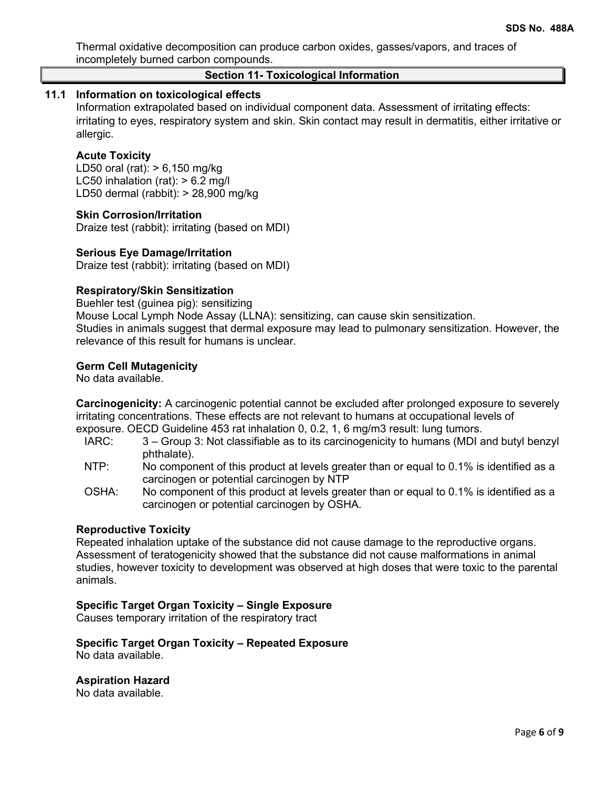Thermal oxidative decomposition can produce carbon oxides, gasses/vapors, and traces of incompletely burned carbon compounds.

# **Section 11- Toxicological Information**

# **11.1 Information on toxicological effects**

Information extrapolated based on individual component data. Assessment of irritating effects: irritating to eyes, respiratory system and skin. Skin contact may result in dermatitis, either irritative or allergic.

#### **Acute Toxicity**

LD50 oral (rat): > 6,150 mg/kg LC50 inhalation (rat):  $> 6.2$  mg/l LD50 dermal (rabbit): > 28,900 mg/kg

#### **Skin Corrosion/Irritation**

Draize test (rabbit): irritating (based on MDI)

#### **Serious Eye Damage/Irritation**

Draize test (rabbit): irritating (based on MDI)

# **Respiratory/Skin Sensitization**

Buehler test (guinea pig): sensitizing Mouse Local Lymph Node Assay (LLNA): sensitizing, can cause skin sensitization. Studies in animals suggest that dermal exposure may lead to pulmonary sensitization. However, the relevance of this result for humans is unclear.

#### **Germ Cell Mutagenicity**

No data available.

**Carcinogenicity:** A carcinogenic potential cannot be excluded after prolonged exposure to severely irritating concentrations. These effects are not relevant to humans at occupational levels of exposure. OECD Guideline 453 rat inhalation 0, 0.2, 1, 6 mg/m3 result: lung tumors.

- IARC: 3 Group 3: Not classifiable as to its carcinogenicity to humans (MDI and butyl benzyl phthalate).
- NTP: No component of this product at levels greater than or equal to 0.1% is identified as a carcinogen or potential carcinogen by NTP
- OSHA: No component of this product at levels greater than or equal to 0.1% is identified as a carcinogen or potential carcinogen by OSHA.

#### **Reproductive Toxicity**

Repeated inhalation uptake of the substance did not cause damage to the reproductive organs. Assessment of teratogenicity showed that the substance did not cause malformations in animal studies, however toxicity to development was observed at high doses that were toxic to the parental animals.

# **Specific Target Organ Toxicity – Single Exposure**

Causes temporary irritation of the respiratory tract

#### **Specific Target Organ Toxicity – Repeated Exposure** No data available.

**Aspiration Hazard**

No data available.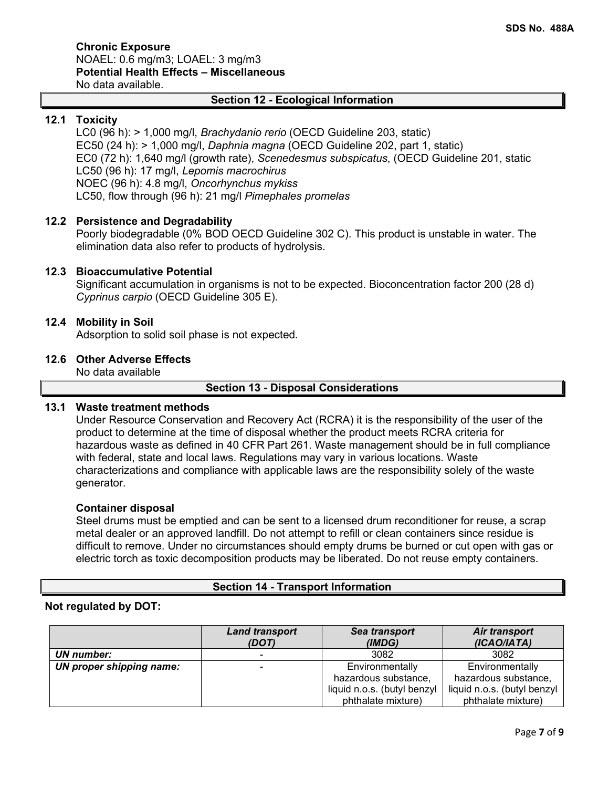#### **Chronic Exposure** NOAEL: 0.6 mg/m3; LOAEL: 3 mg/m3 **Potential Health Effects – Miscellaneous** No data available.

# **Section 12 - Ecological Information**

# **12.1 Toxicity**

LC0 (96 h): > 1,000 mg/l, *Brachydanio rerio* (OECD Guideline 203, static) EC50 (24 h): > 1,000 mg/l, *Daphnia magna* (OECD Guideline 202, part 1, static) EC0 (72 h): 1,640 mg/l (growth rate), *Scenedesmus subspicatus*, (OECD Guideline 201, static LC50 (96 h): 17 mg/l, *Lepomis macrochirus* NOEC (96 h): 4.8 mg/l, *Oncorhynchus mykiss* LC50, flow through (96 h): 21 mg/l *Pimephales promelas*

# **12.2 Persistence and Degradability**

Poorly biodegradable (0% BOD OECD Guideline 302 C). This product is unstable in water. The elimination data also refer to products of hydrolysis.

# **12.3 Bioaccumulative Potential**

Significant accumulation in organisms is not to be expected. Bioconcentration factor 200 (28 d) *Cyprinus carpio* (OECD Guideline 305 E).

#### **12.4 Mobility in Soil**

Adsorption to solid soil phase is not expected.

#### **12.6 Other Adverse Effects**

No data available

#### **Section 13 - Disposal Considerations**

# **13.1 Waste treatment methods**

Under Resource Conservation and Recovery Act (RCRA) it is the responsibility of the user of the product to determine at the time of disposal whether the product meets RCRA criteria for hazardous waste as defined in 40 CFR Part 261. Waste management should be in full compliance with federal, state and local laws. Regulations may vary in various locations. Waste characterizations and compliance with applicable laws are the responsibility solely of the waste generator.

#### **Container disposal**

Steel drums must be emptied and can be sent to a licensed drum reconditioner for reuse, a scrap metal dealer or an approved landfill. Do not attempt to refill or clean containers since residue is difficult to remove. Under no circumstances should empty drums be burned or cut open with gas or electric torch as toxic decomposition products may be liberated. Do not reuse empty containers.

# **Section 14 - Transport Information**

# **Not regulated by DOT:**

|                          | <b>Land transport</b><br>(DOT) | Sea transport<br>(IMDG)     | Air transport<br>(ICAO/IATA) |
|--------------------------|--------------------------------|-----------------------------|------------------------------|
| UN number:               |                                | 3082                        | 3082                         |
| UN proper shipping name: |                                | Environmentally             | Environmentally              |
|                          |                                | hazardous substance,        | hazardous substance,         |
|                          |                                | liquid n.o.s. (butyl benzyl | liquid n.o.s. (butyl benzyl  |
|                          |                                | phthalate mixture)          | phthalate mixture)           |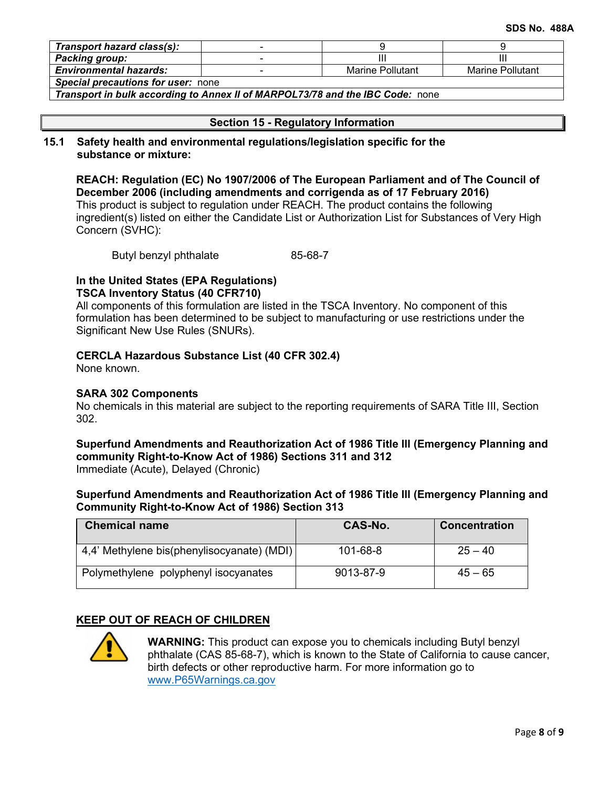| Transport hazard class(s):                |  |                  |                         |  |
|-------------------------------------------|--|------------------|-------------------------|--|
| Packing group:                            |  |                  |                         |  |
| <b>Environmental hazards:</b>             |  | Marine Pollutant | <b>Marine Pollutant</b> |  |
| <b>Special precautions for user: none</b> |  |                  |                         |  |

*Transport in bulk according to Annex II of MARPOL73/78 and the IBC Code:* none

# **Section 15 - Regulatory Information**

#### **15.1 Safety health and environmental regulations/legislation specific for the substance or mixture:**

**REACH: Regulation (EC) No 1907/2006 of The European Parliament and of The Council of December 2006 (including amendments and corrigenda as of 17 February 2016)** This product is subject to regulation under REACH. The product contains the following ingredient(s) listed on either the Candidate List or Authorization List for Substances of Very High Concern (SVHC):

Butyl benzyl phthalate 85-68-7

# **In the United States (EPA Regulations) TSCA Inventory Status (40 CFR710)**

All components of this formulation are listed in the TSCA Inventory. No component of this formulation has been determined to be subject to manufacturing or use restrictions under the Significant New Use Rules (SNURs).

# **CERCLA Hazardous Substance List (40 CFR 302.4)**

None known.

# **SARA 302 Components**

No chemicals in this material are subject to the reporting requirements of SARA Title III, Section 302.

#### **Superfund Amendments and Reauthorization Act of 1986 Title lll (Emergency Planning and community Right-to-Know Act of 1986) Sections 311 and 312** Immediate (Acute), Delayed (Chronic)

# **Superfund Amendments and Reauthorization Act of 1986 Title lll (Emergency Planning and Community Right-to-Know Act of 1986) Section 313**

| <b>Chemical name</b>                       | CAS-No.   | <b>Concentration</b> |
|--------------------------------------------|-----------|----------------------|
| 4,4' Methylene bis(phenylisocyanate) (MDI) | 101-68-8  | $25 - 40$            |
| Polymethylene polyphenyl isocyanates       | 9013-87-9 | $45 - 65$            |

# **KEEP OUT OF REACH OF CHILDREN**



**WARNING:** This product can expose you to chemicals including Butyl benzyl phthalate (CAS 85-68-7), which is known to the State of California to cause cancer, birth defects or other reproductive harm. For more information go to [www.P65Warnings.ca.gov](http://www.p65warnings.ca.gov/)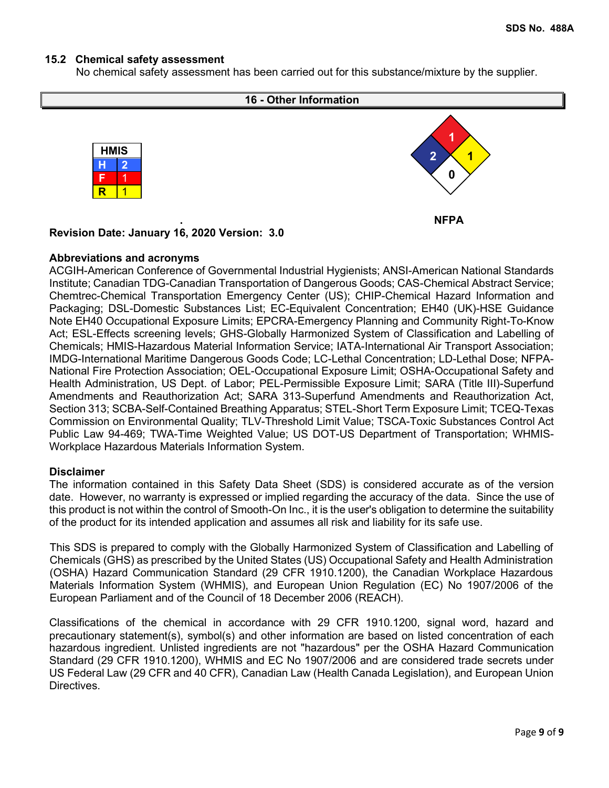# **15.2 Chemical safety assessment**

No chemical safety assessment has been carried out for this substance/mixture by the supplier.



#### **Abbreviations and acronyms**

ACGIH-American Conference of Governmental Industrial Hygienists; ANSI-American National Standards Institute; Canadian TDG-Canadian Transportation of Dangerous Goods; CAS-Chemical Abstract Service; Chemtrec-Chemical Transportation Emergency Center (US); CHIP-Chemical Hazard Information and Packaging; DSL-Domestic Substances List; EC-Equivalent Concentration; EH40 (UK)-HSE Guidance Note EH40 Occupational Exposure Limits; EPCRA-Emergency Planning and Community Right-To-Know Act; ESL-Effects screening levels; GHS-Globally Harmonized System of Classification and Labelling of Chemicals; HMIS-Hazardous Material Information Service; IATA-International Air Transport Association; IMDG-International Maritime Dangerous Goods Code; LC-Lethal Concentration; LD-Lethal Dose; NFPA-National Fire Protection Association; OEL-Occupational Exposure Limit; OSHA-Occupational Safety and Health Administration, US Dept. of Labor; PEL-Permissible Exposure Limit; SARA (Title III)-Superfund Amendments and Reauthorization Act; SARA 313-Superfund Amendments and Reauthorization Act, Section 313; SCBA-Self-Contained Breathing Apparatus; STEL-Short Term Exposure Limit; TCEQ-Texas Commission on Environmental Quality; TLV-Threshold Limit Value; TSCA-Toxic Substances Control Act Public Law 94-469; TWA-Time Weighted Value; US DOT-US Department of Transportation; WHMIS-Workplace Hazardous Materials Information System.

#### **Disclaimer**

The information contained in this Safety Data Sheet (SDS) is considered accurate as of the version date. However, no warranty is expressed or implied regarding the accuracy of the data. Since the use of this product is not within the control of Smooth-On Inc., it is the user's obligation to determine the suitability of the product for its intended application and assumes all risk and liability for its safe use.

This SDS is prepared to comply with the Globally Harmonized System of Classification and Labelling of Chemicals (GHS) as prescribed by the United States (US) Occupational Safety and Health Administration (OSHA) Hazard Communication Standard (29 CFR 1910.1200), the Canadian Workplace Hazardous Materials Information System (WHMIS), and European Union Regulation (EC) No 1907/2006 of the European Parliament and of the Council of 18 December 2006 (REACH).

Classifications of the chemical in accordance with 29 CFR 1910.1200, signal word, hazard and precautionary statement(s), symbol(s) and other information are based on listed concentration of each hazardous ingredient. Unlisted ingredients are not "hazardous" per the OSHA Hazard Communication Standard (29 CFR 1910.1200), WHMIS and EC No 1907/2006 and are considered trade secrets under US Federal Law (29 CFR and 40 CFR), Canadian Law (Health Canada Legislation), and European Union Directives.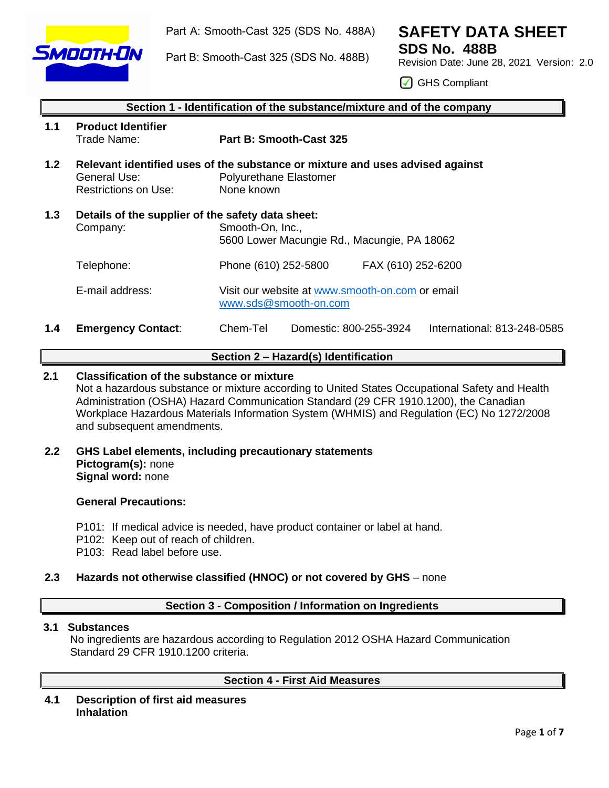

Part A: Smooth-Cast 325 (SDS No. 488A)

Part B: Smooth-Cast 325 (SDS No. 488B)

# **SAFETY DATA SHEET**

**SDS No. 488B** Revision Date: June 28, 2021 Version: 2.0

◯ GHS Compliant

|                  | Section 1 - Identification of the substance/mixture and of the company |                                                                                                                       |  |  |  |  |
|------------------|------------------------------------------------------------------------|-----------------------------------------------------------------------------------------------------------------------|--|--|--|--|
| 1.1              | <b>Product Identifier</b><br>Trade Name:                               | Part B: Smooth-Cast 325                                                                                               |  |  |  |  |
| 1.2 <sub>2</sub> | General Use:<br><b>Restrictions on Use:</b>                            | Relevant identified uses of the substance or mixture and uses advised against<br>Polyurethane Elastomer<br>None known |  |  |  |  |
| 1.3              | Details of the supplier of the safety data sheet:<br>Company:          | Smooth-On, Inc.,<br>5600 Lower Macungie Rd., Macungie, PA 18062                                                       |  |  |  |  |
|                  | Telephone:                                                             | Phone (610) 252-5800<br>FAX (610) 252-6200                                                                            |  |  |  |  |
|                  | E-mail address:                                                        | Visit our website at www.smooth-on.com or email<br>www.sds@smooth-on.com                                              |  |  |  |  |
| 1.4              | <b>Emergency Contact:</b>                                              | Chem-Tel<br>International: 813-248-0585<br>Domestic: 800-255-3924                                                     |  |  |  |  |

# **Section 2 – Hazard(s) Identification**

# **2.1 Classification of the substance or mixture**

Not a hazardous substance or mixture according to United States Occupational Safety and Health Administration (OSHA) Hazard Communication Standard (29 CFR 1910.1200), the Canadian Workplace Hazardous Materials Information System (WHMIS) and Regulation (EC) No 1272/2008 and subsequent amendments.

# **2.2 GHS Label elements, including precautionary statements Pictogram(s):** none **Signal word:** none

# **General Precautions:**

- P101: If medical advice is needed, have product container or label at hand.
- P102: Keep out of reach of children.
- P103: Read label before use.

# **2.3 Hazards not otherwise classified (HNOC) or not covered by GHS** – none

# **Section 3 - Composition / Information on Ingredients**

# **3.1 Substances**

No ingredients are hazardous according to Regulation 2012 OSHA Hazard Communication Standard 29 CFR 1910.1200 criteria.

# **Section 4 - First Aid Measures**

**4.1 Description of first aid measures Inhalation**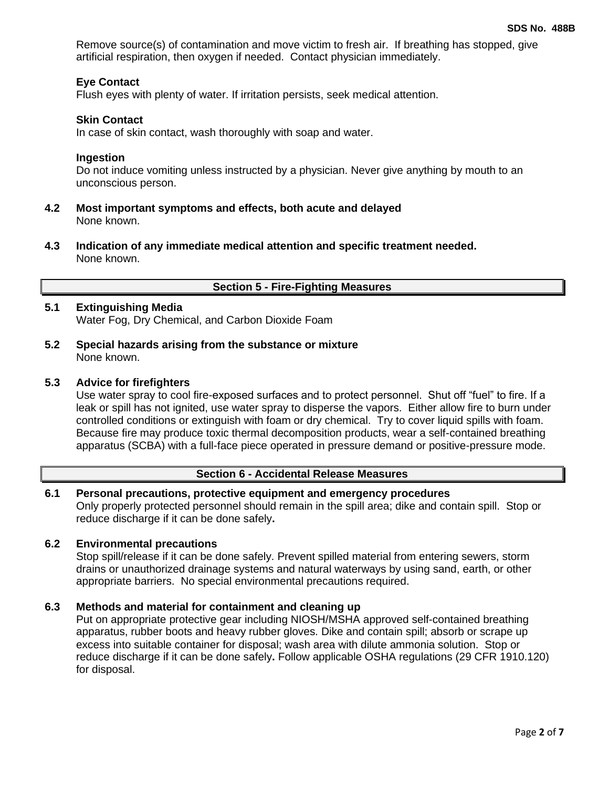Remove source(s) of contamination and move victim to fresh air. If breathing has stopped, give artificial respiration, then oxygen if needed. Contact physician immediately.

# **Eye Contact**

Flush eyes with plenty of water. If irritation persists, seek medical attention.

#### **Skin Contact**

In case of skin contact, wash thoroughly with soap and water.

#### **Ingestion**

Do not induce vomiting unless instructed by a physician. Never give anything by mouth to an unconscious person.

- **4.2 Most important symptoms and effects, both acute and delayed** None known.
- **4.3 Indication of any immediate medical attention and specific treatment needed.** None known.

# **Section 5 - Fire-Fighting Measures**

# **5.1 Extinguishing Media**

Water Fog, Dry Chemical, and Carbon Dioxide Foam

**5.2 Special hazards arising from the substance or mixture** None known.

#### **5.3 Advice for firefighters**

Use water spray to cool fire-exposed surfaces and to protect personnel. Shut off "fuel" to fire. If a leak or spill has not ignited, use water spray to disperse the vapors. Either allow fire to burn under controlled conditions or extinguish with foam or dry chemical. Try to cover liquid spills with foam. Because fire may produce toxic thermal decomposition products, wear a self-contained breathing apparatus (SCBA) with a full-face piece operated in pressure demand or positive-pressure mode.

# **Section 6 - Accidental Release Measures**

#### **6.1 Personal precautions, protective equipment and emergency procedures** Only properly protected personnel should remain in the spill area; dike and contain spill. Stop or reduce discharge if it can be done safely**.**

#### **6.2 Environmental precautions**

Stop spill/release if it can be done safely. Prevent spilled material from entering sewers, storm drains or unauthorized drainage systems and natural waterways by using sand, earth, or other appropriate barriers.No special environmental precautions required.

#### **6.3 Methods and material for containment and cleaning up**

Put on appropriate protective gear including NIOSH/MSHA approved self-contained breathing apparatus, rubber boots and heavy rubber gloves. Dike and contain spill; absorb or scrape up excess into suitable container for disposal; wash area with dilute ammonia solution. Stop or reduce discharge if it can be done safely**.** Follow applicable OSHA regulations (29 CFR 1910.120) for disposal.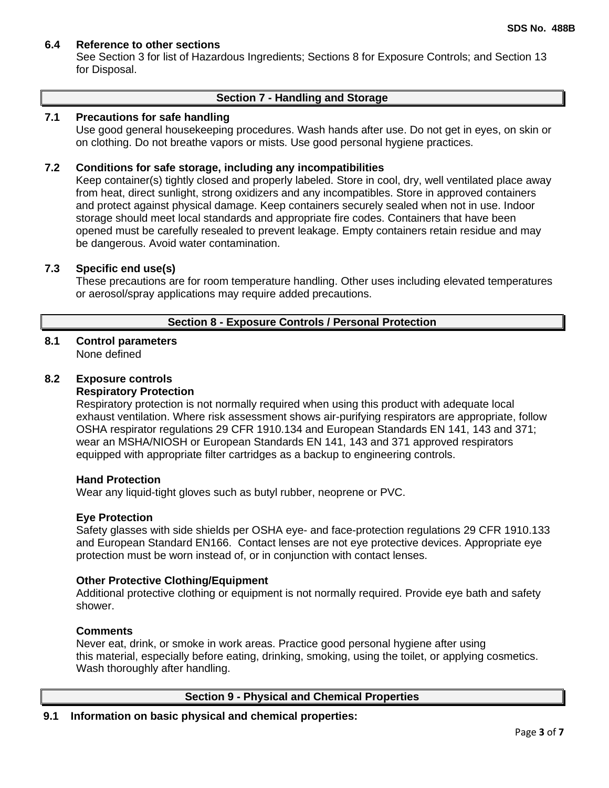# **6.4 Reference to other sections**

See Section 3 for list of Hazardous Ingredients; Sections 8 for Exposure Controls; and Section 13 for Disposal.

#### **Section 7 - Handling and Storage**

# **7.1 Precautions for safe handling**

Use good general housekeeping procedures. Wash hands after use. Do not get in eyes, on skin or on clothing. Do not breathe vapors or mists. Use good personal hygiene practices.

#### **7.2 Conditions for safe storage, including any incompatibilities**

Keep container(s) tightly closed and properly labeled. Store in cool, dry, well ventilated place away from heat, direct sunlight, strong oxidizers and any incompatibles. Store in approved containers and protect against physical damage. Keep containers securely sealed when not in use. Indoor storage should meet local standards and appropriate fire codes. Containers that have been opened must be carefully resealed to prevent leakage. Empty containers retain residue and may be dangerous. Avoid water contamination.

#### **7.3 Specific end use(s)**

These precautions are for room temperature handling. Other uses including elevated temperatures or aerosol/spray applications may require added precautions.

# **Section 8 - Exposure Controls / Personal Protection**

#### **8.1 Control parameters** None defined

#### **8.2 Exposure controls**

#### **Respiratory Protection**

Respiratory protection is not normally required when using this product with adequate local exhaust ventilation. Where risk assessment shows air-purifying respirators are appropriate, follow OSHA respirator regulations 29 CFR 1910.134 and European Standards EN 141, 143 and 371; wear an MSHA/NIOSH or European Standards EN 141, 143 and 371 approved respirators equipped with appropriate filter cartridges as a backup to engineering controls.

#### **Hand Protection**

Wear any liquid-tight gloves such as butyl rubber, neoprene or PVC.

#### **Eye Protection**

Safety glasses with side shields per OSHA eye- and face-protection regulations 29 CFR 1910.133 and European Standard EN166. Contact lenses are not eye protective devices. Appropriate eye protection must be worn instead of, or in conjunction with contact lenses.

#### **Other Protective Clothing/Equipment**

Additional protective clothing or equipment is not normally required. Provide eye bath and safety shower.

#### **Comments**

Never eat, drink, or smoke in work areas. Practice good personal hygiene after using this material, especially before eating, drinking, smoking, using the toilet, or applying cosmetics. Wash thoroughly after handling.

# **Section 9 - Physical and Chemical Properties**

# **9.1 Information on basic physical and chemical properties:**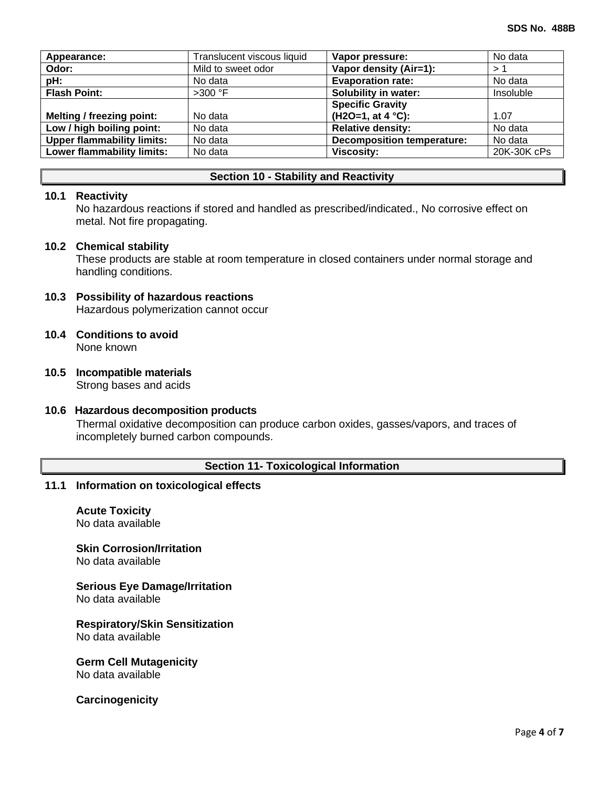| Appearance:                       | Translucent viscous liquid | Vapor pressure:                   | No data     |
|-----------------------------------|----------------------------|-----------------------------------|-------------|
| Odor:                             | Mild to sweet odor         | Vapor density (Air=1):            | >1          |
| pH:                               | No data                    | <b>Evaporation rate:</b>          | No data     |
| <b>Flash Point:</b>               | $>300$ °F                  | Solubility in water:              | Insoluble   |
|                                   |                            | <b>Specific Gravity</b>           |             |
| Melting / freezing point:         | No data                    | $(H2O=1, at 4 °C):$               | 1.07        |
| Low / high boiling point:         | No data                    | <b>Relative density:</b>          | No data     |
| <b>Upper flammability limits:</b> | No data                    | <b>Decomposition temperature:</b> | No data     |
| Lower flammability limits:        | No data                    | <b>Viscosity:</b>                 | 20K-30K cPs |
|                                   |                            |                                   |             |

#### **Section 10 - Stability and Reactivity**

# **10.1 Reactivity**

No hazardous reactions if stored and handled as prescribed/indicated., No corrosive effect on metal. Not fire propagating.

#### **10.2 Chemical stability**

These products are stable at room temperature in closed containers under normal storage and handling conditions.

#### **10.3 Possibility of hazardous reactions**

Hazardous polymerization cannot occur

#### **10.4 Conditions to avoid** None known

# **10.5 Incompatible materials**

Strong bases and acids

#### **10.6 Hazardous decomposition products**

Thermal oxidative decomposition can produce carbon oxides, gasses/vapors, and traces of incompletely burned carbon compounds.

#### **Section 11- Toxicological Information**

#### **11.1 Information on toxicological effects**

**Acute Toxicity** No data available

# **Skin Corrosion/Irritation**

No data available

# **Serious Eye Damage/Irritation**

No data available

# **Respiratory/Skin Sensitization**

No data available

#### **Germ Cell Mutagenicity**

No data available

# **Carcinogenicity**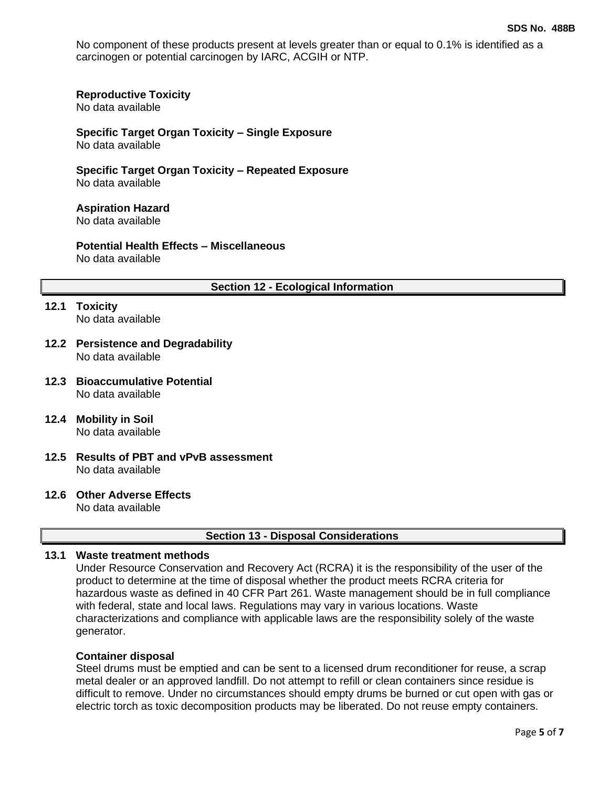No component of these products present at levels greater than or equal to 0.1% is identified as a carcinogen or potential carcinogen by IARC, ACGIH or NTP.

#### **Reproductive Toxicity**

No data available

# **Specific Target Organ Toxicity – Single Exposure**

No data available

**Specific Target Organ Toxicity – Repeated Exposure** No data available

#### **Aspiration Hazard** No data available

#### **Potential Health Effects – Miscellaneous** No data available

#### **Section 12 - Ecological Information**

- **12.1 Toxicity** No data available
- **12.2 Persistence and Degradability** No data available
- **12.3 Bioaccumulative Potential** No data available
- **12.4 Mobility in Soil** No data available
- **12.5 Results of PBT and vPvB assessment** No data available
- **12.6 Other Adverse Effects**

No data available

# **Section 13 - Disposal Considerations**

# **13.1 Waste treatment methods**

Under Resource Conservation and Recovery Act (RCRA) it is the responsibility of the user of the product to determine at the time of disposal whether the product meets RCRA criteria for hazardous waste as defined in 40 CFR Part 261. Waste management should be in full compliance with federal, state and local laws. Regulations may vary in various locations. Waste characterizations and compliance with applicable laws are the responsibility solely of the waste generator.

#### **Container disposal**

Steel drums must be emptied and can be sent to a licensed drum reconditioner for reuse, a scrap metal dealer or an approved landfill. Do not attempt to refill or clean containers since residue is difficult to remove. Under no circumstances should empty drums be burned or cut open with gas or electric torch as toxic decomposition products may be liberated. Do not reuse empty containers.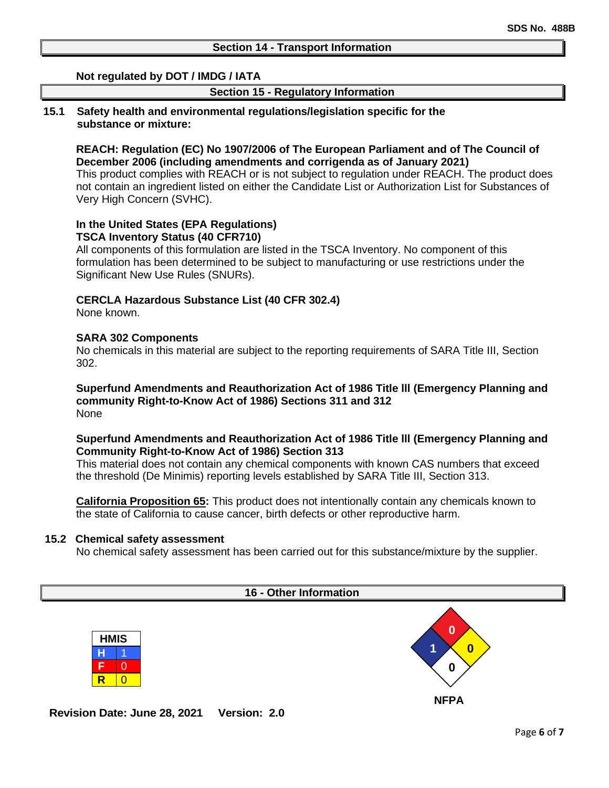# **Not regulated by DOT / IMDG / IATA**

# **Section 15 - Regulatory Information**

#### **15.1 Safety health and environmental regulations/legislation specific for the substance or mixture:**

# **REACH: Regulation (EC) No 1907/2006 of The European Parliament and of The Council of December 2006 (including amendments and corrigenda as of January 2021)**

This product complies with REACH or is not subject to regulation under REACH. The product does not contain an ingredient listed on either the Candidate List or Authorization List for Substances of Very High Concern (SVHC).

# **In the United States (EPA Regulations) TSCA Inventory Status (40 CFR710)**

All components of this formulation are listed in the TSCA Inventory. No component of this formulation has been determined to be subject to manufacturing or use restrictions under the Significant New Use Rules (SNURs).

# **CERCLA Hazardous Substance List (40 CFR 302.4)**

None known.

# **SARA 302 Components**

No chemicals in this material are subject to the reporting requirements of SARA Title III, Section 302.

**Superfund Amendments and Reauthorization Act of 1986 Title lll (Emergency Planning and community Right-to-Know Act of 1986) Sections 311 and 312** None

# **Superfund Amendments and Reauthorization Act of 1986 Title lll (Emergency Planning and Community Right-to-Know Act of 1986) Section 313**

This material does not contain any chemical components with known CAS numbers that exceed the threshold (De Minimis) reporting levels established by SARA Title III, Section 313.

**California Proposition 65:** This product does not intentionally contain any chemicals known to the state of California to cause cancer, birth defects or other reproductive harm.

# **15.2 Chemical safety assessment**

No chemical safety assessment has been carried out for this substance/mixture by the supplier.



**Revision Date: June 28, 2021 Version: 2.0**